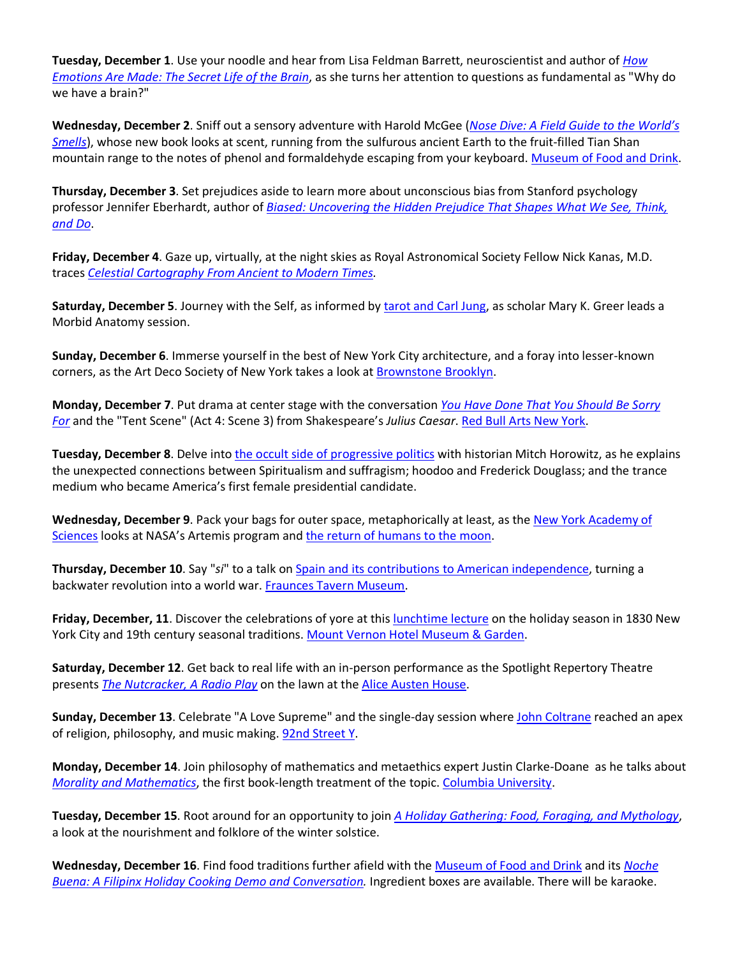**Tuesday, December 1**. Use your noodle and hear from Lisa Feldman Barrett, neuroscientist and author of *How Emotions Are Made: The Secret Life of the Brain*, as she turns her attention to questions as fundamental as "Why do we have a brain?"

**Wednesday, December 2**. Sniff out a sensory adventure with Harold McGee (*Nose Dive: A Field Guide to the World's Smells*), whose new book looks at scent, running from the sulfurous ancient Earth to the fruit-filled Tian Shan mountain range to the notes of phenol and formaldehyde escaping from your keyboard. Museum of Food and Drink.

**Thursday, December 3**. Set prejudices aside to learn more about unconscious bias from Stanford psychology professor Jennifer Eberhardt, author of *Biased: Uncovering the Hidden Prejudice That Shapes What We See, Think, and Do*.

**Friday, December 4**. Gaze up, virtually, at the night skies as Royal Astronomical Society Fellow Nick Kanas, M.D. traces *Celestial Cartography From Ancient to Modern Times.*

**Saturday, December 5**. Journey with the Self, as informed by tarot and Carl Jung, as scholar Mary K. Greer leads a Morbid Anatomy session.

**Sunday, December 6**. Immerse yourself in the best of New York City architecture, and a foray into lesser-known corners, as the Art Deco Society of New York takes a look at **Brownstone Brooklyn**.

**Monday, December 7**. Put drama at center stage with the conversation *You Have Done That You Should Be Sorry For* and the "Tent Scene" (Act 4: Scene 3) from Shakespeare's *Julius Caesar*. Red Bull Arts New York.

**Tuesday, December 8**. Delve into the occult side of progressive politics with historian Mitch Horowitz, as he explains the unexpected connections between Spiritualism and suffragism; hoodoo and Frederick Douglass; and the trance medium who became America's first female presidential candidate.

**Wednesday, December 9**. Pack your bags for outer space, metaphorically at least, as the New York Academy of Sciences looks at NASA's Artemis program and the return of humans to the moon.

**Thursday, December 10**. Say "*si*" to a talk on Spain and its contributions to American independence, turning a backwater revolution into a world war. Fraunces Tavern Museum.

**Friday, December, 11**. Discover the celebrations of yore at this lunchtime lecture on the holiday season in 1830 New York City and 19th century seasonal traditions. Mount Vernon Hotel Museum & Garden.

**Saturday, December 12**. Get back to real life with an in-person performance as the Spotlight Repertory Theatre presents *The Nutcracker, A Radio Play* on the lawn at the Alice Austen House.

**Sunday, December 13**. Celebrate "A Love Supreme" and the single-day session where John Coltrane reached an apex of religion, philosophy, and music making. 92nd Street Y.

**Monday, December 14**. Join philosophy of mathematics and metaethics expert Justin Clarke-Doane as he talks about *Morality and Mathematics*, the first book-length treatment of the topic. Columbia University.

**Tuesday, December 15**. Root around for an opportunity to join *A Holiday Gathering: Food, Foraging, and Mythology*, a look at the nourishment and folklore of the winter solstice.

**Wednesday, December 16**. Find food traditions further afield with the Museum of Food and Drink and its *Noche Buena: A Filipinx Holiday Cooking Demo and Conversation.* Ingredient boxes are available. There will be karaoke.